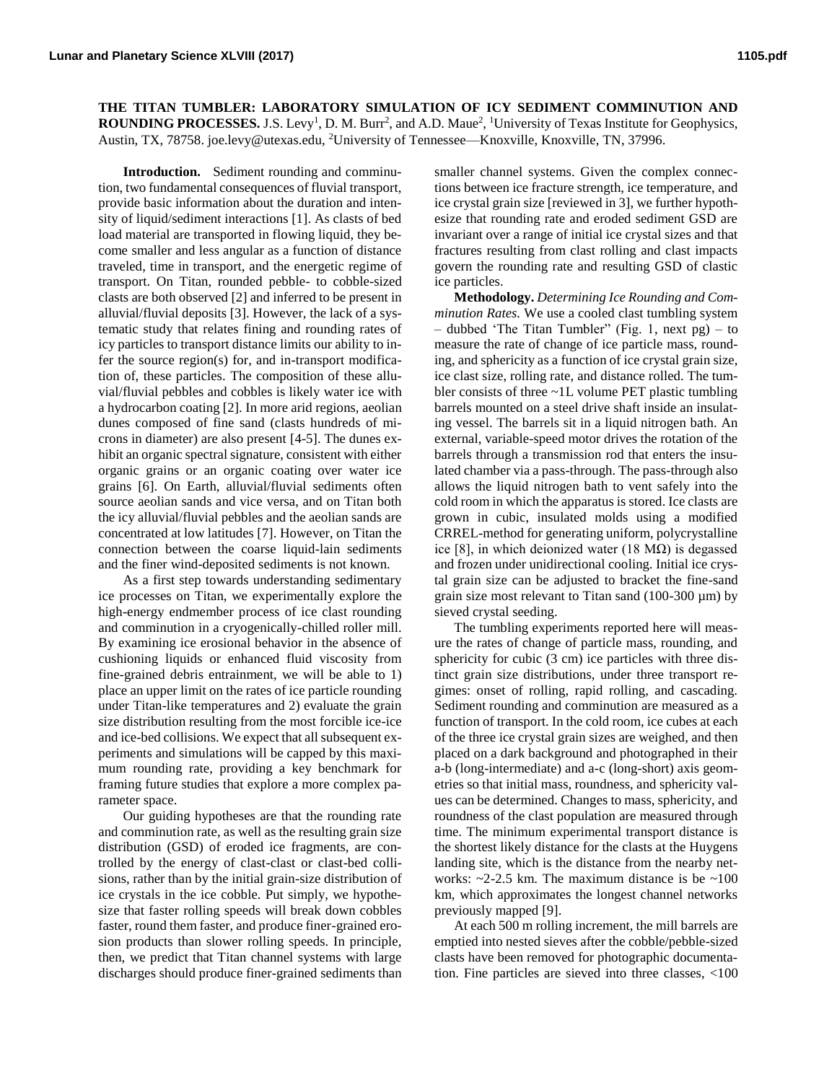**THE TITAN TUMBLER: LABORATORY SIMULATION OF ICY SEDIMENT COMMINUTION AND ROUNDING PROCESSES.** J.S. Levy<sup>1</sup>, D. M. Burr<sup>2</sup>, and A.D. Maue<sup>2</sup>, <sup>1</sup>University of Texas Institute for Geophysics, Austin, TX, 78758. joe.levy@utexas.edu, <sup>2</sup>University of Tennessee—Knoxville, Knoxville, TN, 37996.

**Introduction.** Sediment rounding and comminution, two fundamental consequences of fluvial transport, provide basic information about the duration and intensity of liquid/sediment interactions [1]. As clasts of bed load material are transported in flowing liquid, they become smaller and less angular as a function of distance traveled, time in transport, and the energetic regime of transport. On Titan, rounded pebble- to cobble-sized clasts are both observed [2] and inferred to be present in alluvial/fluvial deposits [3]. However, the lack of a systematic study that relates fining and rounding rates of icy particles to transport distance limits our ability to infer the source region(s) for, and in-transport modification of, these particles. The composition of these alluvial/fluvial pebbles and cobbles is likely water ice with a hydrocarbon coating [2]. In more arid regions, aeolian dunes composed of fine sand (clasts hundreds of microns in diameter) are also present [4-5]. The dunes exhibit an organic spectral signature, consistent with either organic grains or an organic coating over water ice grains [6]. On Earth, alluvial/fluvial sediments often source aeolian sands and vice versa, and on Titan both the icy alluvial/fluvial pebbles and the aeolian sands are concentrated at low latitudes [7]. However, on Titan the connection between the coarse liquid-lain sediments and the finer wind-deposited sediments is not known.

As a first step towards understanding sedimentary ice processes on Titan, we experimentally explore the high-energy endmember process of ice clast rounding and comminution in a cryogenically-chilled roller mill. By examining ice erosional behavior in the absence of cushioning liquids or enhanced fluid viscosity from fine-grained debris entrainment, we will be able to 1) place an upper limit on the rates of ice particle rounding under Titan-like temperatures and 2) evaluate the grain size distribution resulting from the most forcible ice-ice and ice-bed collisions. We expect that all subsequent experiments and simulations will be capped by this maximum rounding rate, providing a key benchmark for framing future studies that explore a more complex parameter space.

Our guiding hypotheses are that the rounding rate and comminution rate, as well as the resulting grain size distribution (GSD) of eroded ice fragments, are controlled by the energy of clast-clast or clast-bed collisions, rather than by the initial grain-size distribution of ice crystals in the ice cobble. Put simply, we hypothesize that faster rolling speeds will break down cobbles faster, round them faster, and produce finer-grained erosion products than slower rolling speeds. In principle, then, we predict that Titan channel systems with large discharges should produce finer-grained sediments than smaller channel systems. Given the complex connections between ice fracture strength, ice temperature, and ice crystal grain size [reviewed in 3], we further hypothesize that rounding rate and eroded sediment GSD are invariant over a range of initial ice crystal sizes and that fractures resulting from clast rolling and clast impacts govern the rounding rate and resulting GSD of clastic ice particles.

**Methodology.** *Determining Ice Rounding and Comminution Rates.* We use a cooled clast tumbling system  $-$  dubbed 'The Titan Tumbler" (Fig. 1, next pg)  $-$  to measure the rate of change of ice particle mass, rounding, and sphericity as a function of ice crystal grain size, ice clast size, rolling rate, and distance rolled. The tumbler consists of three ~1L volume PET plastic tumbling barrels mounted on a steel drive shaft inside an insulating vessel. The barrels sit in a liquid nitrogen bath. An external, variable-speed motor drives the rotation of the barrels through a transmission rod that enters the insulated chamber via a pass-through. The pass-through also allows the liquid nitrogen bath to vent safely into the cold room in which the apparatus is stored. Ice clasts are grown in cubic, insulated molds using a modified CRREL-method for generating uniform, polycrystalline ice [8], in which deionized water (18 M $\Omega$ ) is degassed and frozen under unidirectional cooling. Initial ice crystal grain size can be adjusted to bracket the fine-sand grain size most relevant to Titan sand  $(100-300 \mu m)$  by sieved crystal seeding.

The tumbling experiments reported here will measure the rates of change of particle mass, rounding, and sphericity for cubic (3 cm) ice particles with three distinct grain size distributions, under three transport regimes: onset of rolling, rapid rolling, and cascading. Sediment rounding and comminution are measured as a function of transport. In the cold room, ice cubes at each of the three ice crystal grain sizes are weighed, and then placed on a dark background and photographed in their a-b (long-intermediate) and a-c (long-short) axis geometries so that initial mass, roundness, and sphericity values can be determined. Changes to mass, sphericity, and roundness of the clast population are measured through time. The minimum experimental transport distance is the shortest likely distance for the clasts at the Huygens landing site, which is the distance from the nearby networks:  $\sim$ 2-2.5 km. The maximum distance is be  $\sim$ 100 km, which approximates the longest channel networks previously mapped [9].

At each 500 m rolling increment, the mill barrels are emptied into nested sieves after the cobble/pebble-sized clasts have been removed for photographic documentation. Fine particles are sieved into three classes, <100